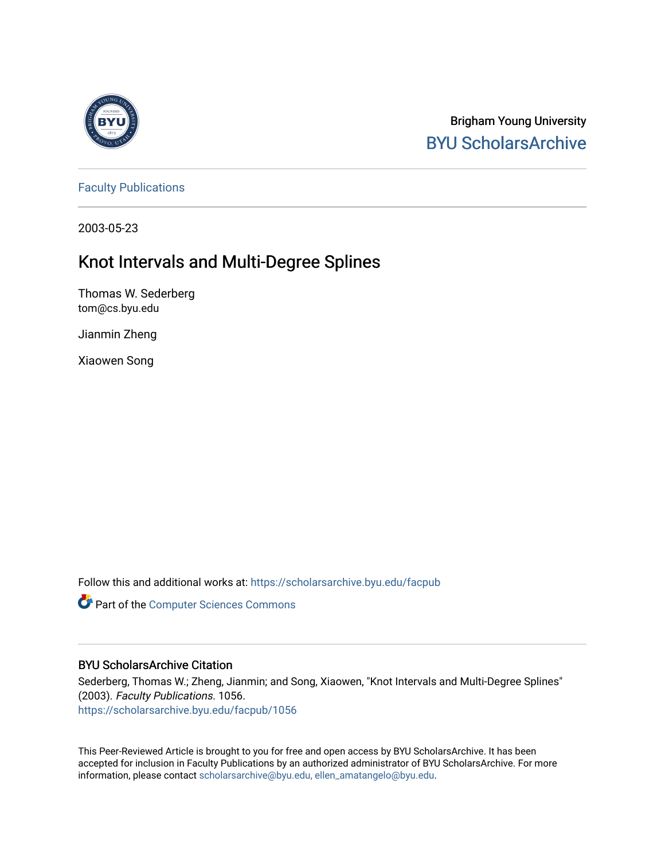

Brigham Young University [BYU ScholarsArchive](https://scholarsarchive.byu.edu/) 

[Faculty Publications](https://scholarsarchive.byu.edu/facpub)

2003-05-23

# Knot Intervals and Multi-Degree Splines

Thomas W. Sederberg tom@cs.byu.edu

Jianmin Zheng

Xiaowen Song

Follow this and additional works at: [https://scholarsarchive.byu.edu/facpub](https://scholarsarchive.byu.edu/facpub?utm_source=scholarsarchive.byu.edu%2Ffacpub%2F1056&utm_medium=PDF&utm_campaign=PDFCoverPages) 

**Part of the [Computer Sciences Commons](http://network.bepress.com/hgg/discipline/142?utm_source=scholarsarchive.byu.edu%2Ffacpub%2F1056&utm_medium=PDF&utm_campaign=PDFCoverPages)** 

## BYU ScholarsArchive Citation

Sederberg, Thomas W.; Zheng, Jianmin; and Song, Xiaowen, "Knot Intervals and Multi-Degree Splines" (2003). Faculty Publications. 1056. [https://scholarsarchive.byu.edu/facpub/1056](https://scholarsarchive.byu.edu/facpub/1056?utm_source=scholarsarchive.byu.edu%2Ffacpub%2F1056&utm_medium=PDF&utm_campaign=PDFCoverPages)

This Peer-Reviewed Article is brought to you for free and open access by BYU ScholarsArchive. It has been accepted for inclusion in Faculty Publications by an authorized administrator of BYU ScholarsArchive. For more information, please contact [scholarsarchive@byu.edu, ellen\\_amatangelo@byu.edu.](mailto:scholarsarchive@byu.edu,%20ellen_amatangelo@byu.edu)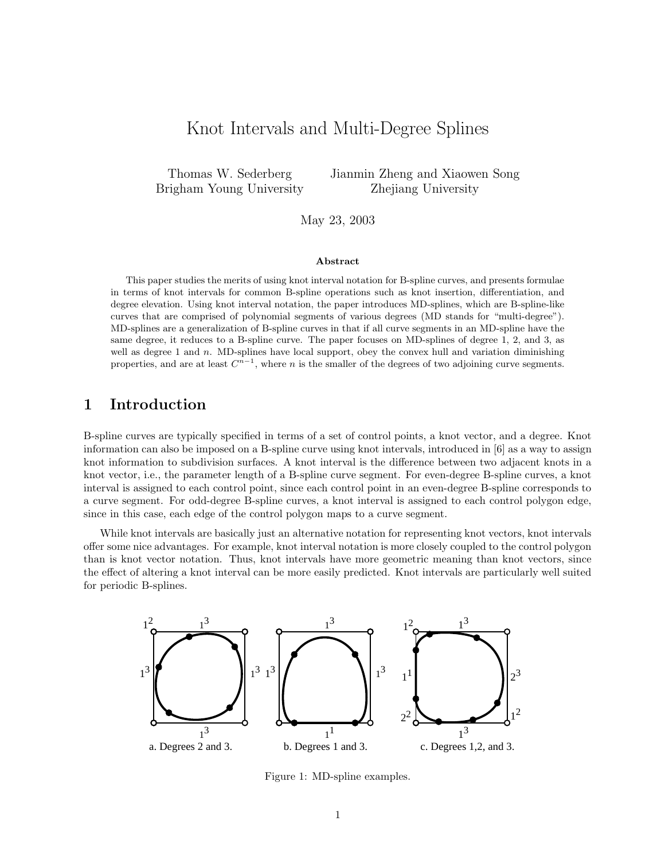## Knot Intervals and Multi-Degree Splines

Thomas W. Sederberg Brigham Young University Jianmin Zheng and Xiaowen Song Zhejiang University

May 23, 2003

#### Abstract

This paper studies the merits of using knot interval notation for B-spline curves, and presents formulae in terms of knot intervals for common B-spline operations such as knot insertion, differentiation, and degree elevation. Using knot interval notation, the paper introduces MD-splines, which are B-spline-like curves that are comprised of polynomial segments of various degrees (MD stands for "multi-degree"). MD-splines are a generalization of B-spline curves in that if all curve segments in an MD-spline have the same degree, it reduces to a B-spline curve. The paper focuses on MD-splines of degree 1, 2, and 3, as well as degree 1 and  $n$ . MD-splines have local support, obey the convex hull and variation diminishing properties, and are at least  $C^{n-1}$ , where n is the smaller of the degrees of two adjoining curve segments.

## 1 Introduction

B-spline curves are typically specified in terms of a set of control points, a knot vector, and a degree. Knot information can also be imposed on a B-spline curve using knot intervals, introduced in [6] as a way to assign knot information to subdivision surfaces. A knot interval is the difference between two adjacent knots in a knot vector, i.e., the parameter length of a B-spline curve segment. For even-degree B-spline curves, a knot interval is assigned to each control point, since each control point in an even-degree B-spline corresponds to a curve segment. For odd-degree B-spline curves, a knot interval is assigned to each control polygon edge, since in this case, each edge of the control polygon maps to a curve segment.

While knot intervals are basically just an alternative notation for representing knot vectors, knot intervals offer some nice advantages. For example, knot interval notation is more closely coupled to the control polygon than is knot vector notation. Thus, knot intervals have more geometric meaning than knot vectors, since the effect of altering a knot interval can be more easily predicted. Knot intervals are particularly well suited for periodic B-splines.



Figure 1: MD-spline examples.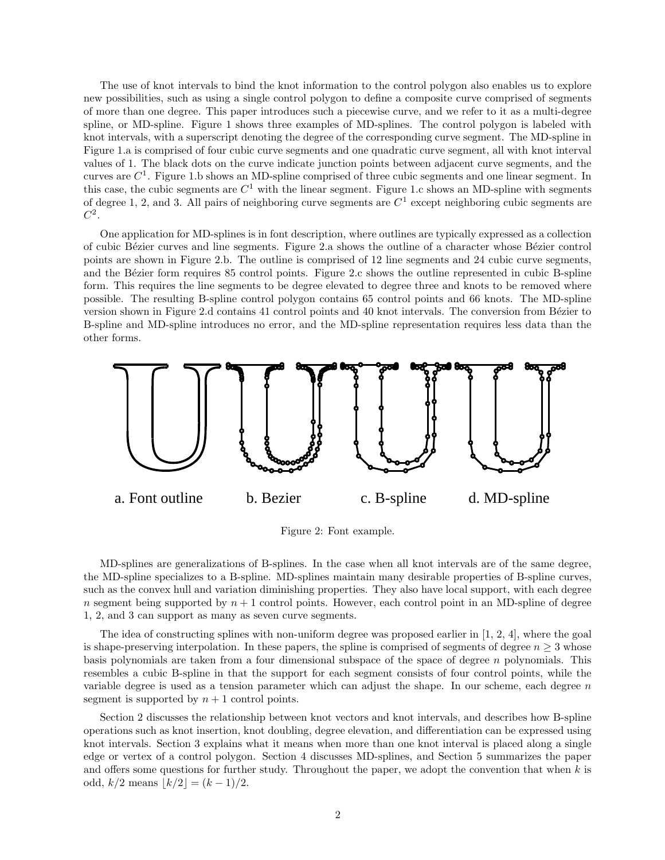The use of knot intervals to bind the knot information to the control polygon also enables us to explore new possibilities, such as using a single control polygon to define a composite curve comprised of segments of more than one degree. This paper introduces such a piecewise curve, and we refer to it as a multi-degree spline, or MD-spline. Figure 1 shows three examples of MD-splines. The control polygon is labeled with knot intervals, with a superscript denoting the degree of the corresponding curve segment. The MD-spline in Figure 1.a is comprised of four cubic curve segments and one quadratic curve segment, all with knot interval values of 1. The black dots on the curve indicate junction points between adjacent curve segments, and the curves are  $C^1$ . Figure 1.b shows an MD-spline comprised of three cubic segments and one linear segment. In this case, the cubic segments are  $C^1$  with the linear segment. Figure 1.c shows an MD-spline with segments of degree 1, 2, and 3. All pairs of neighboring curve segments are  $C<sup>1</sup>$  except neighboring cubic segments are  $C^2$ .

One application for MD-splines is in font description, where outlines are typically expressed as a collection of cubic B´ezier curves and line segments. Figure 2.a shows the outline of a character whose B´ezier control points are shown in Figure 2.b. The outline is comprised of 12 line segments and 24 cubic curve segments, and the Bézier form requires 85 control points. Figure 2.c shows the outline represented in cubic B-spline form. This requires the line segments to be degree elevated to degree three and knots to be removed where possible. The resulting B-spline control polygon contains 65 control points and 66 knots. The MD-spline version shown in Figure 2.d contains 41 control points and 40 knot intervals. The conversion from Bézier to B-spline and MD-spline introduces no error, and the MD-spline representation requires less data than the other forms.



Figure 2: Font example.

MD-splines are generalizations of B-splines. In the case when all knot intervals are of the same degree, the MD-spline specializes to a B-spline. MD-splines maintain many desirable properties of B-spline curves, such as the convex hull and variation diminishing properties. They also have local support, with each degree n segment being supported by  $n + 1$  control points. However, each control point in an MD-spline of degree 1, 2, and 3 can support as many as seven curve segments.

The idea of constructing splines with non-uniform degree was proposed earlier in [1, 2, 4], where the goal is shape-preserving interpolation. In these papers, the spline is comprised of segments of degree  $n \geq 3$  whose basis polynomials are taken from a four dimensional subspace of the space of degree  $n$  polynomials. This resembles a cubic B-spline in that the support for each segment consists of four control points, while the variable degree is used as a tension parameter which can adjust the shape. In our scheme, each degree  $n$ segment is supported by  $n + 1$  control points.

Section 2 discusses the relationship between knot vectors and knot intervals, and describes how B-spline operations such as knot insertion, knot doubling, degree elevation, and differentiation can be expressed using knot intervals. Section 3 explains what it means when more than one knot interval is placed along a single edge or vertex of a control polygon. Section 4 discusses MD-splines, and Section 5 summarizes the paper and offers some questions for further study. Throughout the paper, we adopt the convention that when  $k$  is odd,  $k/2$  means  $|k/2| = (k - 1)/2$ .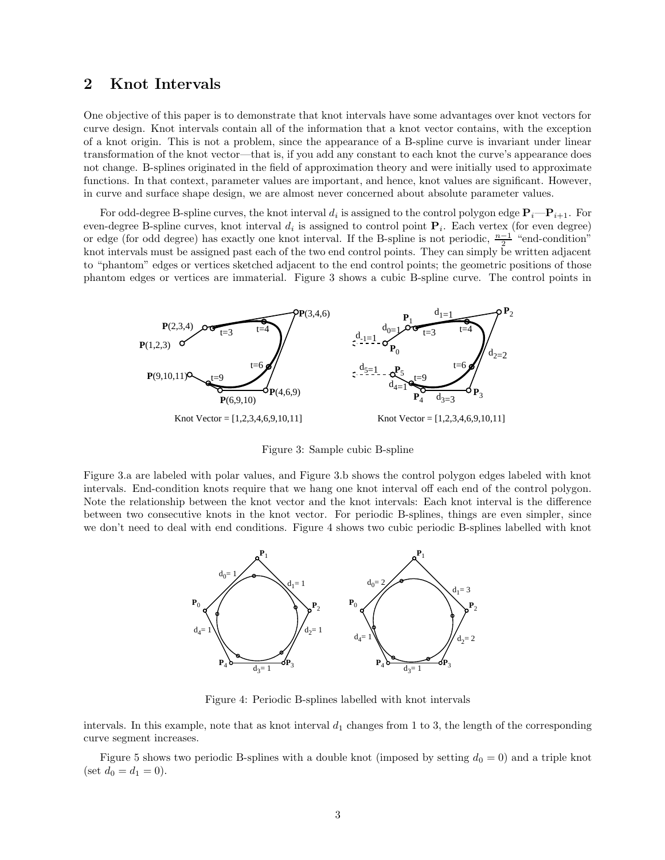## 2 Knot Intervals

One objective of this paper is to demonstrate that knot intervals have some advantages over knot vectors for curve design. Knot intervals contain all of the information that a knot vector contains, with the exception of a knot origin. This is not a problem, since the appearance of a B-spline curve is invariant under linear transformation of the knot vector—that is, if you add any constant to each knot the curve's appearance does not change. B-splines originated in the field of approximation theory and were initially used to approximate functions. In that context, parameter values are important, and hence, knot values are significant. However, in curve and surface shape design, we are almost never concerned about absolute parameter values.

For odd-degree B-spline curves, the knot interval  $d_i$  is assigned to the control polygon edge  $P_i-P_{i+1}$ . For even-degree B-spline curves, knot interval  $d_i$  is assigned to control point  $P_i$ . Each vertex (for even degree) or edge (for odd degree) has exactly one knot interval. If the B-spline is not periodic,  $\frac{n-1}{2}$  "end-condition" knot intervals must be assigned past each of the two end control points. They can simply be written adjacent to "phantom" edges or vertices sketched adjacent to the end control points; the geometric positions of those phantom edges or vertices are immaterial. Figure 3 shows a cubic B-spline curve. The control points in



Figure 3: Sample cubic B-spline

Figure 3.a are labeled with polar values, and Figure 3.b shows the control polygon edges labeled with knot intervals. End-condition knots require that we hang one knot interval off each end of the control polygon. Note the relationship between the knot vector and the knot intervals: Each knot interval is the difference between two consecutive knots in the knot vector. For periodic B-splines, things are even simpler, since we don't need to deal with end conditions. Figure 4 shows two cubic periodic B-splines labelled with knot



Figure 4: Periodic B-splines labelled with knot intervals

intervals. In this example, note that as knot interval  $d_1$  changes from 1 to 3, the length of the corresponding curve segment increases.

Figure 5 shows two periodic B-splines with a double knot (imposed by setting  $d_0 = 0$ ) and a triple knot (set  $d_0 = d_1 = 0$ ).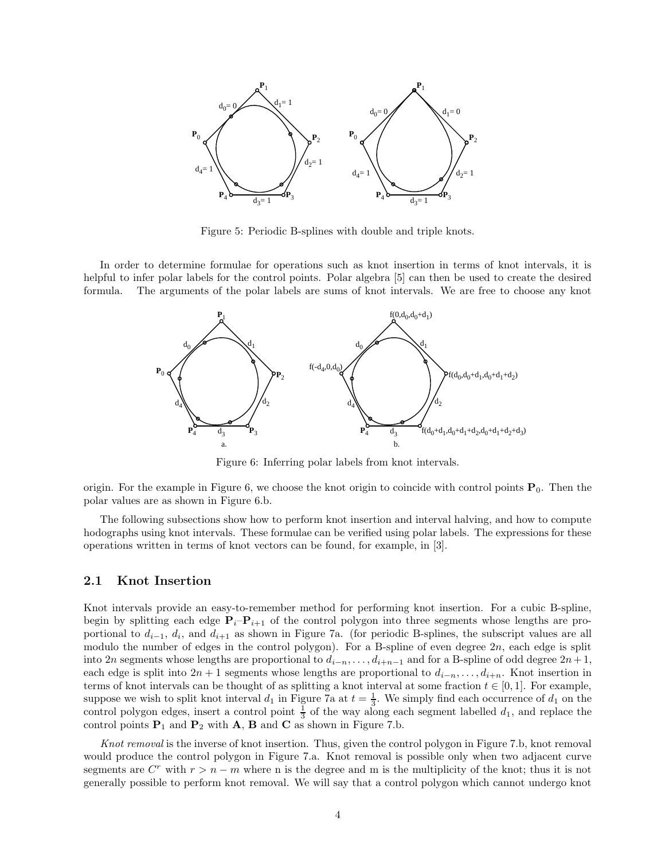

Figure 5: Periodic B-splines with double and triple knots.

In order to determine formulae for operations such as knot insertion in terms of knot intervals, it is helpful to infer polar labels for the control points. Polar algebra [5] can then be used to create the desired formula. The arguments of the polar labels are sums of knot intervals. We are free to choose any knot



Figure 6: Inferring polar labels from knot intervals.

origin. For the example in Figure 6, we choose the knot origin to coincide with control points  $P_0$ . Then the polar values are as shown in Figure 6.b.

The following subsections show how to perform knot insertion and interval halving, and how to compute hodographs using knot intervals. These formulae can be verified using polar labels. The expressions for these operations written in terms of knot vectors can be found, for example, in [3].

#### 2.1 Knot Insertion

Knot intervals provide an easy-to-remember method for performing knot insertion. For a cubic B-spline, begin by splitting each edge  $P_i-P_{i+1}$  of the control polygon into three segments whose lengths are proportional to  $d_{i-1}$ ,  $d_i$ , and  $d_{i+1}$  as shown in Figure 7a. (for periodic B-splines, the subscript values are all modulo the number of edges in the control polygon). For a B-spline of even degree  $2n$ , each edge is split into 2n segments whose lengths are proportional to  $d_{i-n}, \ldots, d_{i+n-1}$  and for a B-spline of odd degree  $2n+1$ , each edge is split into  $2n + 1$  segments whose lengths are proportional to  $d_{i-n}, \ldots, d_{i+n}$ . Knot insertion in terms of knot intervals can be thought of as splitting a knot interval at some fraction  $t \in [0,1]$ . For example, suppose we wish to split knot interval  $d_1$  in Figure 7a at  $t = \frac{1}{3}$ . We simply find each occurrence of  $d_1$  on the control polygon edges, insert a control point  $\frac{1}{3}$  of the way along each segment labelled  $d_1$ , and replace the control points  $P_1$  and  $P_2$  with A, B and C as shown in Figure 7.b.

Knot removal is the inverse of knot insertion. Thus, given the control polygon in Figure 7.b, knot removal would produce the control polygon in Figure 7.a. Knot removal is possible only when two adjacent curve segments are  $C^r$  with  $r > n - m$  where n is the degree and m is the multiplicity of the knot; thus it is not generally possible to perform knot removal. We will say that a control polygon which cannot undergo knot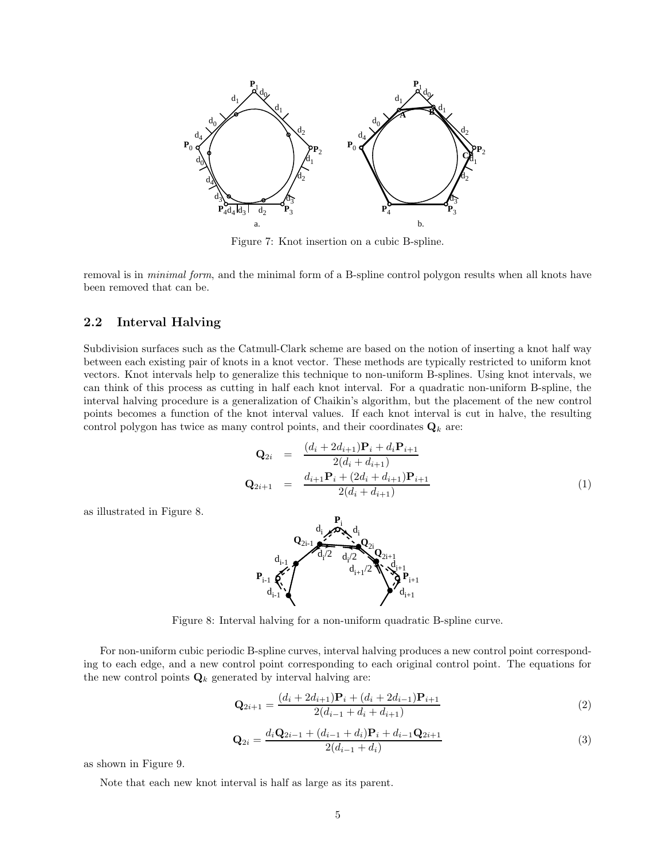

Figure 7: Knot insertion on a cubic B-spline.

removal is in *minimal form*, and the minimal form of a B-spline control polygon results when all knots have been removed that can be.

### 2.2 Interval Halving

Subdivision surfaces such as the Catmull-Clark scheme are based on the notion of inserting a knot half way between each existing pair of knots in a knot vector. These methods are typically restricted to uniform knot vectors. Knot intervals help to generalize this technique to non-uniform B-splines. Using knot intervals, we can think of this process as cutting in half each knot interval. For a quadratic non-uniform B-spline, the interval halving procedure is a generalization of Chaikin's algorithm, but the placement of the new control points becomes a function of the knot interval values. If each knot interval is cut in halve, the resulting control polygon has twice as many control points, and their coordinates  $\mathbf{Q}_k$  are:

$$
\mathbf{Q}_{2i} = \frac{(d_i + 2d_{i+1})\mathbf{P}_i + d_i \mathbf{P}_{i+1}}{2(d_i + d_{i+1})}
$$
  
\n
$$
\mathbf{Q}_{2i+1} = \frac{d_{i+1}\mathbf{P}_i + (2d_i + d_{i+1})\mathbf{P}_{i+1}}{2(d_i + d_{i+1})}
$$
(1)

as illustrated in Figure 8.



Figure 8: Interval halving for a non-uniform quadratic B-spline curve.

For non-uniform cubic periodic B-spline curves, interval halving produces a new control point corresponding to each edge, and a new control point corresponding to each original control point. The equations for the new control points  $\mathbf{Q}_k$  generated by interval halving are:

$$
\mathbf{Q}_{2i+1} = \frac{(d_i + 2d_{i+1})\mathbf{P}_i + (d_i + 2d_{i-1})\mathbf{P}_{i+1}}{2(d_{i-1} + d_i + d_{i+1})}
$$
(2)

$$
\mathbf{Q}_{2i} = \frac{d_i \mathbf{Q}_{2i-1} + (d_{i-1} + d_i) \mathbf{P}_i + d_{i-1} \mathbf{Q}_{2i+1}}{2(d_{i-1} + d_i)}
$$
(3)

as shown in Figure 9.

Note that each new knot interval is half as large as its parent.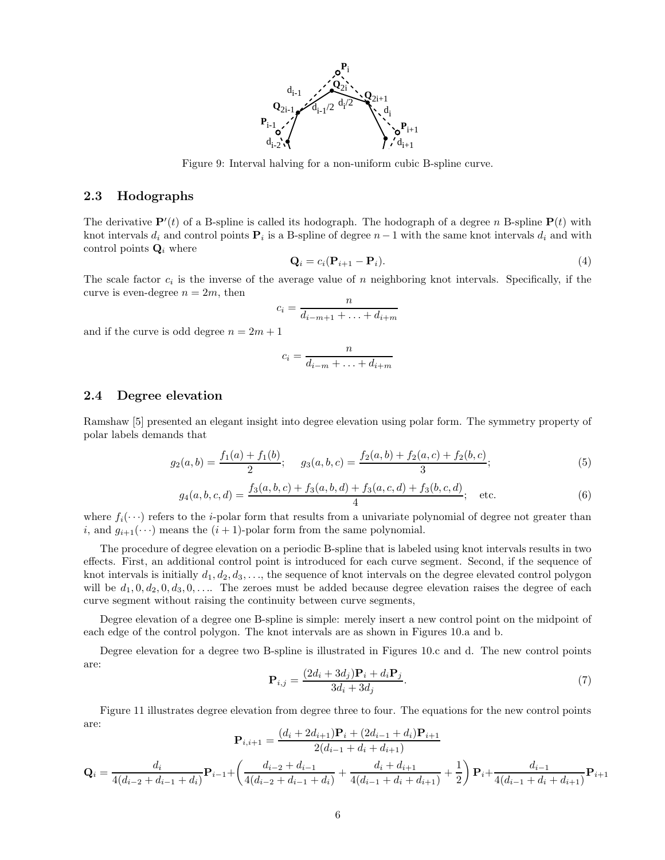

Figure 9: Interval halving for a non-uniform cubic B-spline curve.

### 2.3 Hodographs

The derivative  $\mathbf{P}'(t)$  of a B-spline is called its hodograph. The hodograph of a degree n B-spline  $\mathbf{P}(t)$  with knot intervals  $d_i$  and control points  $\mathbf{P}_i$  is a B-spline of degree  $n-1$  with the same knot intervals  $d_i$  and with control points  $\mathbf{Q}_i$  where

$$
\mathbf{Q}_i = c_i (\mathbf{P}_{i+1} - \mathbf{P}_i). \tag{4}
$$

The scale factor  $c_i$  is the inverse of the average value of n neighboring knot intervals. Specifically, if the curve is even-degree  $n = 2m$ , then

$$
c_i = \frac{n}{d_{i-m+1} + \ldots + d_{i+m}}
$$

and if the curve is odd degree  $n = 2m + 1$ 

$$
c_i = \frac{n}{d_{i-m} + \ldots + d_{i+m}}
$$

#### 2.4 Degree elevation

Ramshaw [5] presented an elegant insight into degree elevation using polar form. The symmetry property of polar labels demands that

$$
g_2(a,b) = \frac{f_1(a) + f_1(b)}{2}; \quad g_3(a,b,c) = \frac{f_2(a,b) + f_2(a,c) + f_2(b,c)}{3};
$$
\n<sup>(5)</sup>

$$
g_4(a, b, c, d) = \frac{f_3(a, b, c) + f_3(a, b, d) + f_3(a, c, d) + f_3(b, c, d)}{4}; \quad \text{etc.}
$$
 (6)

where  $f_i(\cdots)$  refers to the *i*-polar form that results from a univariate polynomial of degree not greater than i, and  $g_{i+1}(\dots)$  means the  $(i+1)$ -polar form from the same polynomial.

The procedure of degree elevation on a periodic B-spline that is labeled using knot intervals results in two effects. First, an additional control point is introduced for each curve segment. Second, if the sequence of knot intervals is initially  $d_1, d_2, d_3, \ldots$ , the sequence of knot intervals on the degree elevated control polygon will be  $d_1, 0, d_2, 0, d_3, 0, \ldots$  The zeroes must be added because degree elevation raises the degree of each curve segment without raising the continuity between curve segments,

Degree elevation of a degree one B-spline is simple: merely insert a new control point on the midpoint of each edge of the control polygon. The knot intervals are as shown in Figures 10.a and b.

Degree elevation for a degree two B-spline is illustrated in Figures 10.c and d. The new control points are:

$$
\mathbf{P}_{i,j} = \frac{(2d_i + 3d_j)\mathbf{P}_i + d_i \mathbf{P}_j}{3d_i + 3d_j}.
$$
\n<sup>(7)</sup>

Figure 11 illustrates degree elevation from degree three to four. The equations for the new control points are:  $(d. \pm 2d)$ <sub>+1</sub> $\mathbf{P} \pm (2d)$ <sub>+1</sub> $\pm d$ .

$$
\mathbf{P}_{i,i+1} = \frac{(a_i + 2a_{i+1})\mathbf{F}_i + (2a_{i-1} + a_i)\mathbf{F}_{i+1}}{2(d_{i-1} + d_i + d_{i+1})}
$$
\n
$$
\mathbf{Q}_i = \frac{d_i}{4(d_{i-2} + d_{i-1} + d_i)} \mathbf{P}_{i-1} + \left(\frac{d_{i-2} + d_{i-1}}{4(d_{i-2} + d_{i-1} + d_i)} + \frac{d_i + d_{i+1}}{4(d_{i-1} + d_i + d_{i+1})} + \frac{1}{2}\right) \mathbf{P}_i + \frac{d_{i-1}}{4(d_{i-1} + d_i + d_{i+1})} \mathbf{P}_{i+1}
$$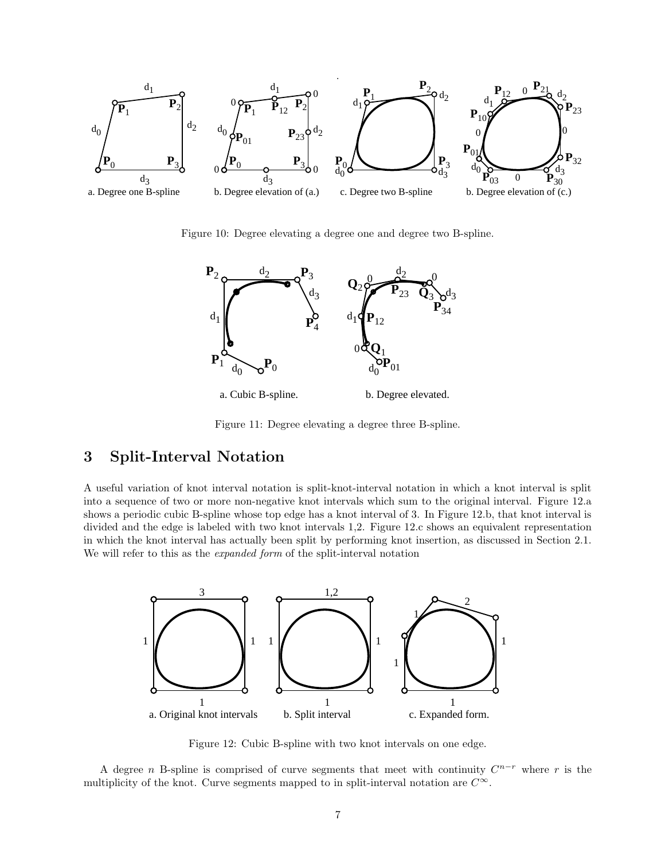

Figure 10: Degree elevating a degree one and degree two B-spline.



Figure 11: Degree elevating a degree three B-spline.

## 3 Split-Interval Notation

A useful variation of knot interval notation is split-knot-interval notation in which a knot interval is split into a sequence of two or more non-negative knot intervals which sum to the original interval. Figure 12.a shows a periodic cubic B-spline whose top edge has a knot interval of 3. In Figure 12.b, that knot interval is divided and the edge is labeled with two knot intervals 1,2. Figure 12.c shows an equivalent representation in which the knot interval has actually been split by performing knot insertion, as discussed in Section 2.1. We will refer to this as the *expanded form* of the split-interval notation



Figure 12: Cubic B-spline with two knot intervals on one edge.

A degree *n* B-spline is comprised of curve segments that meet with continuity  $C^{n-r}$  where r is the multiplicity of the knot. Curve segments mapped to in split-interval notation are  $C^{\infty}$ .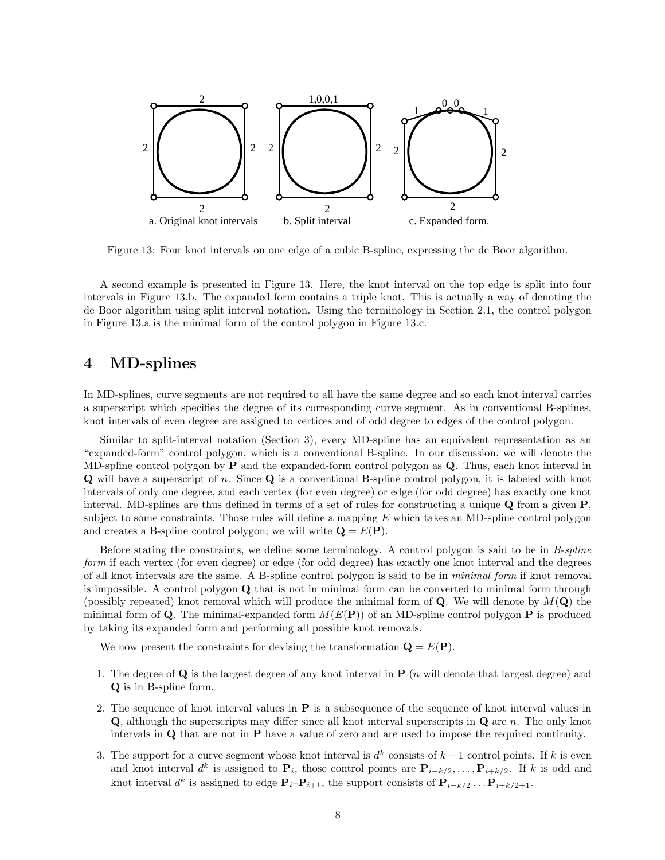

Figure 13: Four knot intervals on one edge of a cubic B-spline, expressing the de Boor algorithm.

A second example is presented in Figure 13. Here, the knot interval on the top edge is split into four intervals in Figure 13.b. The expanded form contains a triple knot. This is actually a way of denoting the de Boor algorithm using split interval notation. Using the terminology in Section 2.1, the control polygon in Figure 13.a is the minimal form of the control polygon in Figure 13.c.

## 4 MD-splines

In MD-splines, curve segments are not required to all have the same degree and so each knot interval carries a superscript which specifies the degree of its corresponding curve segment. As in conventional B-splines, knot intervals of even degree are assigned to vertices and of odd degree to edges of the control polygon.

Similar to split-interval notation (Section 3), every MD-spline has an equivalent representation as an "expanded-form" control polygon, which is a conventional B-spline. In our discussion, we will denote the MD-spline control polygon by  $P$  and the expanded-form control polygon as  $Q$ . Thus, each knot interval in  $\bf{Q}$  will have a superscript of n. Since  $\bf{Q}$  is a conventional B-spline control polygon, it is labeled with knot intervals of only one degree, and each vertex (for even degree) or edge (for odd degree) has exactly one knot interval. MD-splines are thus defined in terms of a set of rules for constructing a unique  $Q$  from a given  $P$ , subject to some constraints. Those rules will define a mapping  $E$  which takes an MD-spline control polygon and creates a B-spline control polygon; we will write  $\mathbf{Q} = E(\mathbf{P})$ .

Before stating the constraints, we define some terminology. A control polygon is said to be in B-spline form if each vertex (for even degree) or edge (for odd degree) has exactly one knot interval and the degrees of all knot intervals are the same. A B-spline control polygon is said to be in minimal form if knot removal is impossible. A control polygon Q that is not in minimal form can be converted to minimal form through (possibly repeated) knot removal which will produce the minimal form of  $\bf{Q}$ . We will denote by  $M(\bf{Q})$  the minimal form of Q. The minimal-expanded form  $M(E(\mathbf{P}))$  of an MD-spline control polygon P is produced by taking its expanded form and performing all possible knot removals.

We now present the constraints for devising the transformation  $\mathbf{Q} = E(\mathbf{P})$ .

- 1. The degree of  $\bf{Q}$  is the largest degree of any knot interval in  $\bf{P}$  (*n* will denote that largest degree) and Q is in B-spline form.
- 2. The sequence of knot interval values in P is a subsequence of the sequence of knot interval values in Q, although the superscripts may differ since all knot interval superscripts in Q are n. The only knot intervals in Q that are not in P have a value of zero and are used to impose the required continuity.
- 3. The support for a curve segment whose knot interval is  $d^k$  consists of  $k+1$  control points. If k is even and knot interval  $d^k$  is assigned to  $\mathbf{P}_i$ , those control points are  $\mathbf{P}_{i-k/2}, \ldots, \mathbf{P}_{i+k/2}$ . If k is odd and knot interval  $d^k$  is assigned to edge  $\mathbf{P}_i-\mathbf{P}_{i+1}$ , the support consists of  $\mathbf{P}_{i-k/2} \dots \mathbf{P}_{i+k/2+1}$ .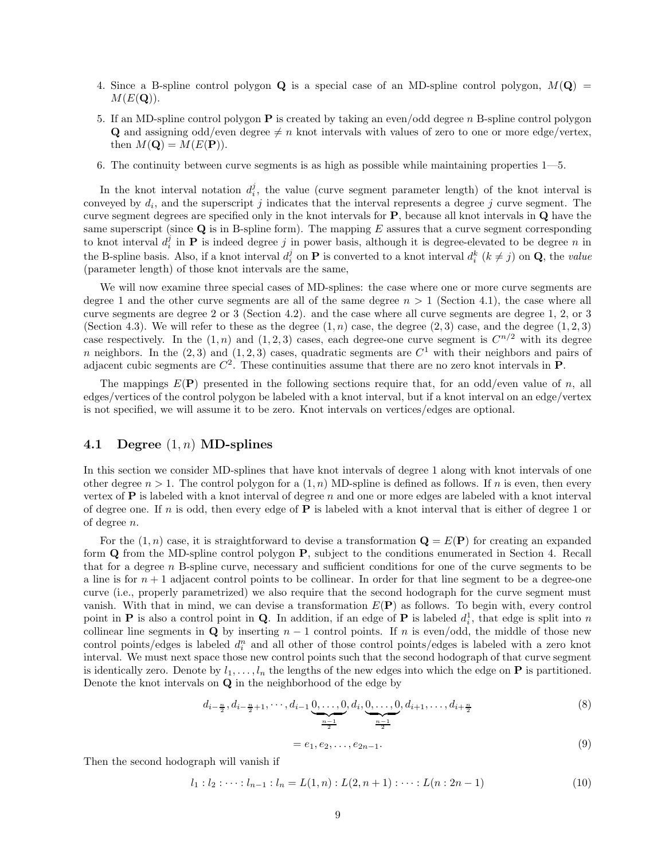- 4. Since a B-spline control polygon Q is a special case of an MD-spline control polygon,  $M(Q)$  =  $M(E(Q)).$
- 5. If an MD-spline control polygon  $P$  is created by taking an even/odd degree n B-spline control polygon **Q** and assigning odd/even degree  $\neq n$  knot intervals with values of zero to one or more edge/vertex, then  $M(\mathbf{Q}) = M(E(\mathbf{P})).$
- 6. The continuity between curve segments is as high as possible while maintaining properties 1—5.

In the knot interval notation  $d_i^j$ , the value (curve segment parameter length) of the knot interval is conveyed by  $d_i$ , and the superscript j indicates that the interval represents a degree j curve segment. The curve segment degrees are specified only in the knot intervals for  $P$ , because all knot intervals in  $Q$  have the same superscript (since  $\bf{Q}$  is in B-spline form). The mapping E assures that a curve segment corresponding to knot interval  $d_i^j$  in **P** is indeed degree j in power basis, although it is degree-elevated to be degree n in the B-spline basis. Also, if a knot interval  $d_i^j$  on **P** is converted to a knot interval  $d_i^k$  ( $k \neq j$ ) on **Q**, the *value* (parameter length) of those knot intervals are the same,

We will now examine three special cases of MD-splines: the case where one or more curve segments are degree 1 and the other curve segments are all of the same degree  $n > 1$  (Section 4.1), the case where all curve segments are degree 2 or 3 (Section 4.2). and the case where all curve segments are degree 1, 2, or 3 (Section 4.3). We will refer to these as the degree  $(1, n)$  case, the degree  $(2, 3)$  case, and the degree  $(1, 2, 3)$ case respectively. In the  $(1, n)$  and  $(1, 2, 3)$  cases, each degree-one curve segment is  $C^{n/2}$  with its degree n neighbors. In the  $(2,3)$  and  $(1,2,3)$  cases, quadratic segments are  $C<sup>1</sup>$  with their neighbors and pairs of adjacent cubic segments are  $C^2$ . These continuities assume that there are no zero knot intervals in **P**.

The mappings  $E(\mathbf{P})$  presented in the following sections require that, for an odd/even value of n, all edges/vertices of the control polygon be labeled with a knot interval, but if a knot interval on an edge/vertex is not specified, we will assume it to be zero. Knot intervals on vertices/edges are optional.

#### 4.1 Degree  $(1, n)$  MD-splines

In this section we consider MD-splines that have knot intervals of degree 1 along with knot intervals of one other degree  $n > 1$ . The control polygon for a  $(1, n)$  MD-spline is defined as follows. If n is even, then every vertex of  $P$  is labeled with a knot interval of degree n and one or more edges are labeled with a knot interval of degree one. If n is odd, then every edge of  $P$  is labeled with a knot interval that is either of degree 1 or of degree n.

For the  $(1, n)$  case, it is straightforward to devise a transformation  $\mathbf{Q} = E(\mathbf{P})$  for creating an expanded form Q from the MD-spline control polygon P, subject to the conditions enumerated in Section 4. Recall that for a degree n B-spline curve, necessary and sufficient conditions for one of the curve segments to be a line is for  $n + 1$  adjacent control points to be collinear. In order for that line segment to be a degree-one curve (i.e., properly parametrized) we also require that the second hodograph for the curve segment must vanish. With that in mind, we can devise a transformation  $E(\mathbf{P})$  as follows. To begin with, every control point in **P** is also a control point in **Q**. In addition, if an edge of **P** is labeled  $d_i^1$ , that edge is split into n collinear line segments in Q by inserting  $n-1$  control points. If n is even/odd, the middle of those new control points/edges is labeled  $d_i^n$  and all other of those control points/edges is labeled with a zero knot interval. We must next space those new control points such that the second hodograph of that curve segment is identically zero. Denote by  $l_1, \ldots, l_n$  the lengths of the new edges into which the edge on **P** is partitioned. Denote the knot intervals on Q in the neighborhood of the edge by

$$
d_{i-\frac{n}{2}}, d_{i-\frac{n}{2}+1}, \cdots, d_{i-1} \underbrace{0, \ldots, 0}_{\frac{n-1}{2}}, d_i, \underbrace{0, \ldots, 0}_{\frac{n-1}{2}}, d_{i+1}, \ldots, d_{i+\frac{n}{2}}
$$
\n
$$
(8)
$$

$$
= e_1, e_2, \dots, e_{2n-1}.
$$
\n(9)

Then the second hodograph will vanish if

$$
l_1: l_2: \dots: l_{n-1}: l_n = L(1, n): L(2, n+1): \dots: L(n: 2n-1)
$$
\n
$$
(10)
$$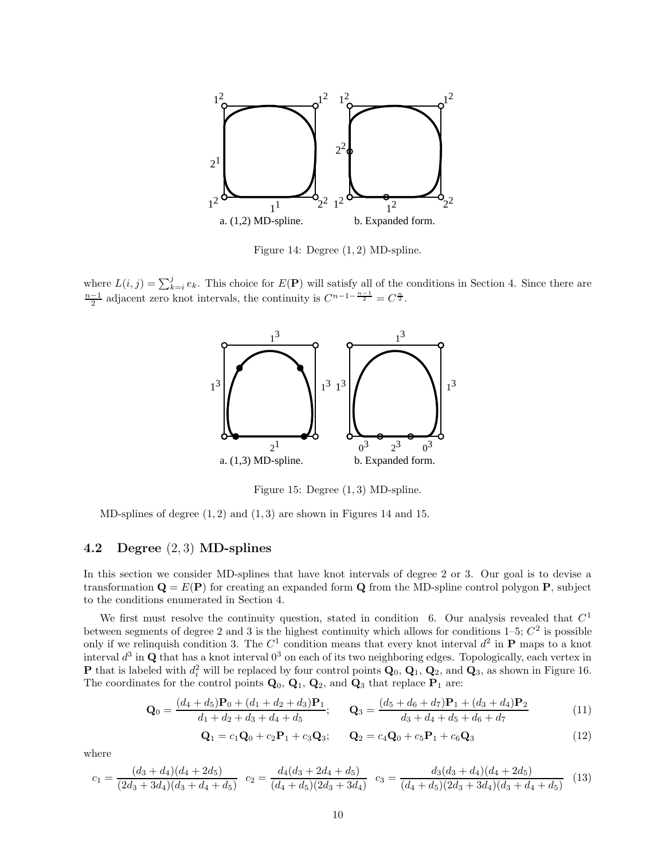

Figure 14: Degree (1, 2) MD-spline.

where  $L(i, j) = \sum_{k=i}^{j} e_k$ . This choice for  $E(\mathbf{P})$  will satisfy all of the conditions in Section 4. Since there are  $\frac{n-1}{2}$  adjacent zero knot intervals, the continuity is  $C^{n-1-\frac{n-1}{2}} = C^{\frac{n}{2}}$ .



Figure 15: Degree (1, 3) MD-spline.

MD-splines of degree  $(1, 2)$  and  $(1, 3)$  are shown in Figures 14 and 15.

#### 4.2 Degree (2, 3) MD-splines

In this section we consider MD-splines that have knot intervals of degree 2 or 3. Our goal is to devise a transformation  $\mathbf{Q} = E(\mathbf{P})$  for creating an expanded form  $\mathbf{Q}$  from the MD-spline control polygon **P**, subject to the conditions enumerated in Section 4.

We first must resolve the continuity question, stated in condition 6. Our analysis revealed that  $C<sup>1</sup>$ between segments of degree 2 and 3 is the highest continuity which allows for conditions  $1-5$ ;  $C^2$  is possible only if we relinquish condition 3. The  $C^1$  condition means that every knot interval  $d^2$  in **P** maps to a knot interval  $d^3$  in Q that has a knot interval  $0^3$  on each of its two neighboring edges. Topologically, each vertex in **P** that is labeled with  $d_i^2$  will be replaced by four control points  $\mathbf{Q}_0$ ,  $\mathbf{Q}_1$ ,  $\mathbf{Q}_2$ , and  $\mathbf{Q}_3$ , as shown in Figure 16. The coordinates for the control points  $\mathbf{Q}_0$ ,  $\mathbf{Q}_1$ ,  $\mathbf{Q}_2$ , and  $\mathbf{Q}_3$  that replace  $\mathbf{P}_1$  are:

$$
\mathbf{Q}_0 = \frac{(d_4 + d_5)\mathbf{P}_0 + (d_1 + d_2 + d_3)\mathbf{P}_1}{d_1 + d_2 + d_3 + d_4 + d_5}; \qquad \mathbf{Q}_3 = \frac{(d_5 + d_6 + d_7)\mathbf{P}_1 + (d_3 + d_4)\mathbf{P}_2}{d_3 + d_4 + d_5 + d_6 + d_7}
$$
(11)

$$
\mathbf{Q}_1 = c_1 \mathbf{Q}_0 + c_2 \mathbf{P}_1 + c_3 \mathbf{Q}_3; \qquad \mathbf{Q}_2 = c_4 \mathbf{Q}_0 + c_5 \mathbf{P}_1 + c_6 \mathbf{Q}_3 \tag{12}
$$

where

$$
c_1 = \frac{(d_3 + d_4)(d_4 + 2d_5)}{(2d_3 + 3d_4)(d_3 + d_4 + d_5)} \quad c_2 = \frac{d_4(d_3 + 2d_4 + d_5)}{(d_4 + d_5)(2d_3 + 3d_4)} \quad c_3 = \frac{d_3(d_3 + d_4)(d_4 + 2d_5)}{(d_4 + d_5)(2d_3 + 3d_4)(d_3 + d_4 + d_5)} \tag{13}
$$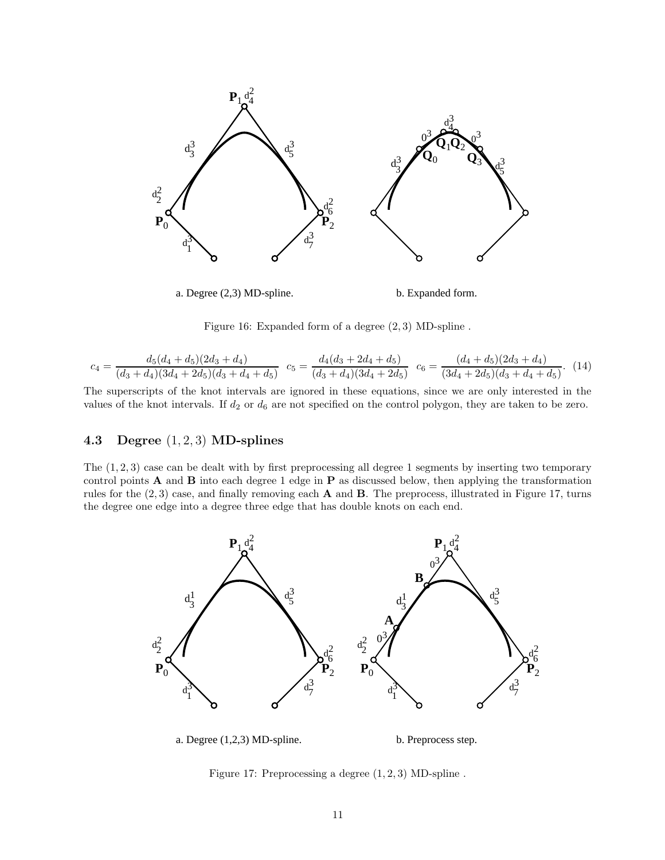

Figure 16: Expanded form of a degree (2, 3) MD-spline .

$$
c_4 = \frac{d_5(d_4 + d_5)(2d_3 + d_4)}{(d_3 + d_4)(3d_4 + 2d_5)(d_3 + d_4 + d_5)} \quad c_5 = \frac{d_4(d_3 + 2d_4 + d_5)}{(d_3 + d_4)(3d_4 + 2d_5)} \quad c_6 = \frac{(d_4 + d_5)(2d_3 + d_4)}{(3d_4 + 2d_5)(d_3 + d_4 + d_5)}.\tag{14}
$$

The superscripts of the knot intervals are ignored in these equations, since we are only interested in the values of the knot intervals. If  $d_2$  or  $d_6$  are not specified on the control polygon, they are taken to be zero.

### 4.3 Degree  $(1, 2, 3)$  MD-splines

The (1, 2, 3) case can be dealt with by first preprocessing all degree 1 segments by inserting two temporary control points  $\bf{A}$  and  $\bf{B}$  into each degree 1 edge in  $\bf{P}$  as discussed below, then applying the transformation rules for the  $(2, 3)$  case, and finally removing each **A** and **B**. The preprocess, illustrated in Figure 17, turns the degree one edge into a degree three edge that has double knots on each end.



a. Degree (1,2,3) MD-spline.

b. Preprocess step.

Figure 17: Preprocessing a degree  $(1, 2, 3)$  MD-spline.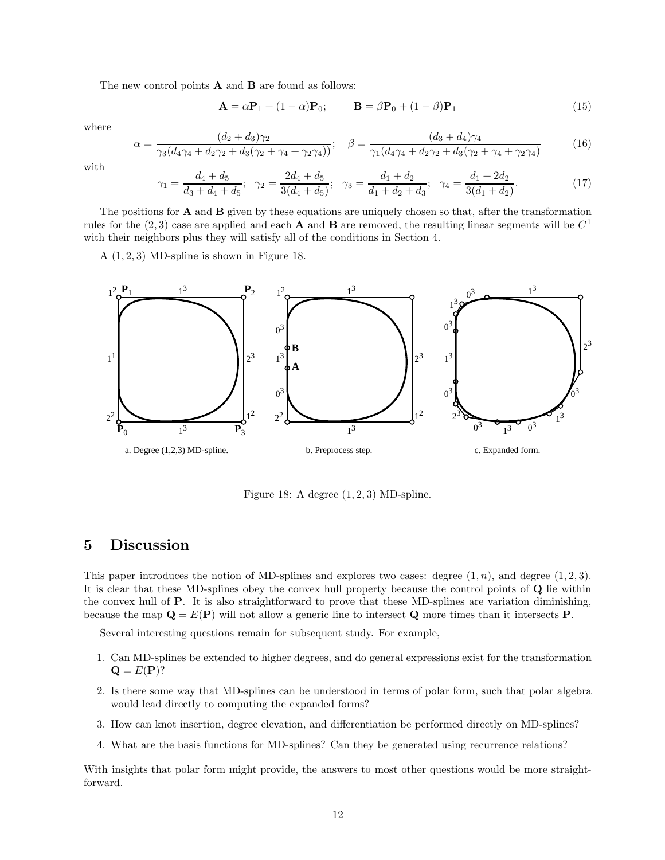The new control points  $A$  and  $B$  are found as follows:

$$
\mathbf{A} = \alpha \mathbf{P}_1 + (1 - \alpha) \mathbf{P}_0; \qquad \mathbf{B} = \beta \mathbf{P}_0 + (1 - \beta) \mathbf{P}_1 \tag{15}
$$

where

$$
\alpha = \frac{(d_2 + d_3)\gamma_2}{\gamma_3(d_4\gamma_4 + d_2\gamma_2 + d_3(\gamma_2 + \gamma_4 + \gamma_2\gamma_4))}; \quad \beta = \frac{(d_3 + d_4)\gamma_4}{\gamma_1(d_4\gamma_4 + d_2\gamma_2 + d_3(\gamma_2 + \gamma_4 + \gamma_2\gamma_4)}\tag{16}
$$

with

$$
\gamma_1 = \frac{d_4 + d_5}{d_3 + d_4 + d_5}; \quad \gamma_2 = \frac{2d_4 + d_5}{3(d_4 + d_5)}; \quad \gamma_3 = \frac{d_1 + d_2}{d_1 + d_2 + d_3}; \quad \gamma_4 = \frac{d_1 + 2d_2}{3(d_1 + d_2)}.
$$
(17)

The positions for  $\bf{A}$  and  $\bf{B}$  given by these equations are uniquely chosen so that, after the transformation rules for the  $(2,3)$  case are applied and each **A** and **B** are removed, the resulting linear segments will be  $C<sup>1</sup>$ with their neighbors plus they will satisfy all of the conditions in Section 4.

A  $(1, 2, 3)$  MD-spline is shown in Figure 18.



Figure 18: A degree  $(1, 2, 3)$  MD-spline.

## 5 Discussion

This paper introduces the notion of MD-splines and explores two cases: degree  $(1, n)$ , and degree  $(1, 2, 3)$ . It is clear that these MD-splines obey the convex hull property because the control points of Q lie within the convex hull of  $P$ . It is also straightforward to prove that these MD-splines are variation diminishing, because the map  $\mathbf{Q} = E(\mathbf{P})$  will not allow a generic line to intersect **Q** more times than it intersects **P**.

Several interesting questions remain for subsequent study. For example,

- 1. Can MD-splines be extended to higher degrees, and do general expressions exist for the transformation  $\mathbf{Q} = E(\mathbf{P})$ ?
- 2. Is there some way that MD-splines can be understood in terms of polar form, such that polar algebra would lead directly to computing the expanded forms?
- 3. How can knot insertion, degree elevation, and differentiation be performed directly on MD-splines?
- 4. What are the basis functions for MD-splines? Can they be generated using recurrence relations?

With insights that polar form might provide, the answers to most other questions would be more straightforward.